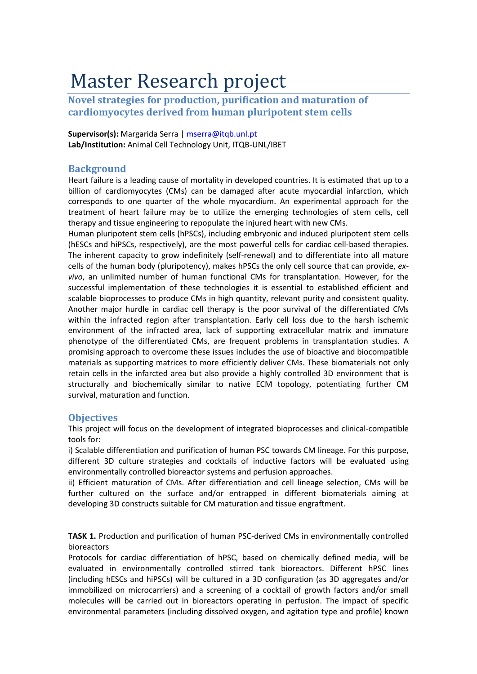## Master Research project

**Novel strategies for production, purification and maturation of cardiomyocytes derived from human pluripotent stem cells**

**Supervisor(s):** Margarida Serra | mserra@itqb.unl.pt **Lab/Institution:** Animal Cell Technology Unit, ITQB‐UNL/IBET

## **Background**

Heart failure is a leading cause of mortality in developed countries. It is estimated that up to a billion of cardiomyocytes (CMs) can be damaged after acute myocardial infarction, which corresponds to one quarter of the whole myocardium. An experimental approach for the treatment of heart failure may be to utilize the emerging technologies of stem cells, cell therapy and tissue engineering to repopulate the injured heart with new CMs.

Human pluripotent stem cells (hPSCs), including embryonic and induced pluripotent stem cells (hESCs and hiPSCs, respectively), are the most powerful cells for cardiac cell-based therapies. The inherent capacity to grow indefinitely (self-renewal) and to differentiate into all mature cells of the human body (pluripotency), makes hPSCs the only cell source that can provide, *exvivo*, an unlimited number of human functional CMs for transplantation. However, for the successful implementation of these technologies it is essential to established efficient and scalable bioprocesses to produce CMs in high quantity, relevant purity and consistent quality. Another major hurdle in cardiac cell therapy is the poor survival of the differentiated CMs within the infracted region after transplantation. Early cell loss due to the harsh ischemic environment of the infracted area, lack of supporting extracellular matrix and immature phenotype of the differentiated CMs, are frequent problems in transplantation studies. A promising approach to overcome these issues includes the use of bioactive and biocompatible materials as supporting matrices to more efficiently deliver CMs. These biomaterials not only retain cells in the infarcted area but also provide a highly controlled 3D environment that is structurally and biochemically similar to native ECM topology, potentiating further CM survival, maturation and function.

## **Objectives**

This project will focus on the development of integrated bioprocesses and clinical-compatible tools for:

i) Scalable differentiation and purification of human PSC towards CM lineage. For this purpose, different 3D culture strategies and cocktails of inductive factors will be evaluated using environmentally controlled bioreactor systems and perfusion approaches.

ii) Efficient maturation of CMs. After differentiation and cell lineage selection, CMs will be further cultured on the surface and/or entrapped in different biomaterials aiming at developing 3D constructs suitable for CM maturation and tissue engraftment.

**TASK 1.** Production and purification of human PSC-derived CMs in environmentally controlled bioreactors

Protocols for cardiac differentiation of hPSC, based on chemically defined media, will be evaluated in environmentally controlled stirred tank bioreactors. Different hPSC lines (including hESCs and hiPSCs) will be cultured in a 3D configuration (as 3D aggregates and/or immobilized on microcarriers) and a screening of a cocktail of growth factors and/or small molecules will be carried out in bioreactors operating in perfusion. The impact of specific environmental parameters (including dissolved oxygen, and agitation type and profile) known